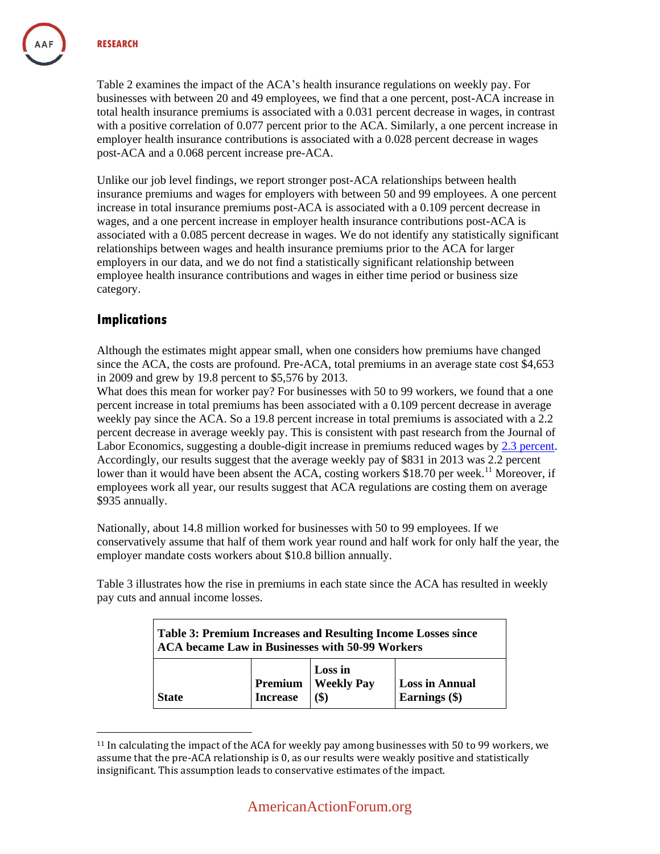Table 2 examines the impact of the ACA's health insurance regulations on weekly pay. For businesses with between 20 and 49 employees, we find that a one percent, post-ACA increase in total health insurance premiums is associated with a 0.031 percent decrease in wages, in contrast with a positive correlation of 0.077 percent prior to the ACA. Similarly, a one percent increase in employer health insurance contributions is associated with a 0.028 percent decrease in wages post-ACA and a 0.068 percent increase pre-ACA.

Unlike our job level findings, we report stronger post-ACA relationships between health insurance premiums and wages for employers with between 50 and 99 employees. A one percent increase in total insurance premiums post-ACA is associated with a 0.109 percent decrease in wages, and a one percent increase in employer health insurance contributions post-ACA is associated with a 0.085 percent decrease in wages. We do not identify any statistically significant relationships between wages and health insurance premiums prior to the ACA for larger employers in our data, and we do not find a statistically significant relationship between employee health insurance contributions and wages in either time period or business size category.

## **Implications**

 $\overline{a}$ 

Although the estimates might appear small, when one considers how premiums have changed since the ACA, the costs are profound. Pre-ACA, total premiums in an average state cost \$4,653 in 2009 and grew by 19.8 percent to \$5,576 by 2013.

What does this mean for worker pay? For businesses with 50 to 99 workers, we found that a one percent increase in total premiums has been associated with a 0.109 percent decrease in average weekly pay since the ACA. So a 19.8 percent increase in total premiums is associated with a 2.2 percent decrease in average weekly pay. This is consistent with past research from the Journal of Labor Economics, suggesting a double-digit increase in premiums reduced wages by [2.3 percent.](http://www.hks.harvard.edu/fs/achandr/JLE_LaborMktEffectsRisingHealthInsurancePremiums_2006.pdf) Accordingly, our results suggest that the average weekly pay of \$831 in 2013 was 2.2 percent lower than it would have been absent the ACA, costing workers \$18.70 per week.<sup>11</sup> Moreover, if employees work all year, our results suggest that ACA regulations are costing them on average \$935 annually.

Nationally, about 14.8 million worked for businesses with 50 to 99 employees. If we conservatively assume that half of them work year round and half work for only half the year, the employer mandate costs workers about \$10.8 billion annually.

Table 3 illustrates how the rise in premiums in each state since the ACA has resulted in weekly pay cuts and annual income losses.

|              | Table 3: Premium Increases and Resulting Income Losses since<br><b>ACA became Law in Businesses with 50-99 Workers</b> |                   |                       |  |  |
|--------------|------------------------------------------------------------------------------------------------------------------------|-------------------|-----------------------|--|--|
| <b>State</b> | Premium                                                                                                                | Loss in           | <b>Loss in Annual</b> |  |  |
|              | <b>Increase</b>                                                                                                        | <b>Weekly Pay</b> | Earnings (\$)         |  |  |

<sup>11</sup> In calculating the impact of the ACA for weekly pay among businesses with 50 to 99 workers, we assume that the pre-ACA relationship is 0, as our results were weakly positive and statistically insignificant. This assumption leads to conservative estimates of the impact.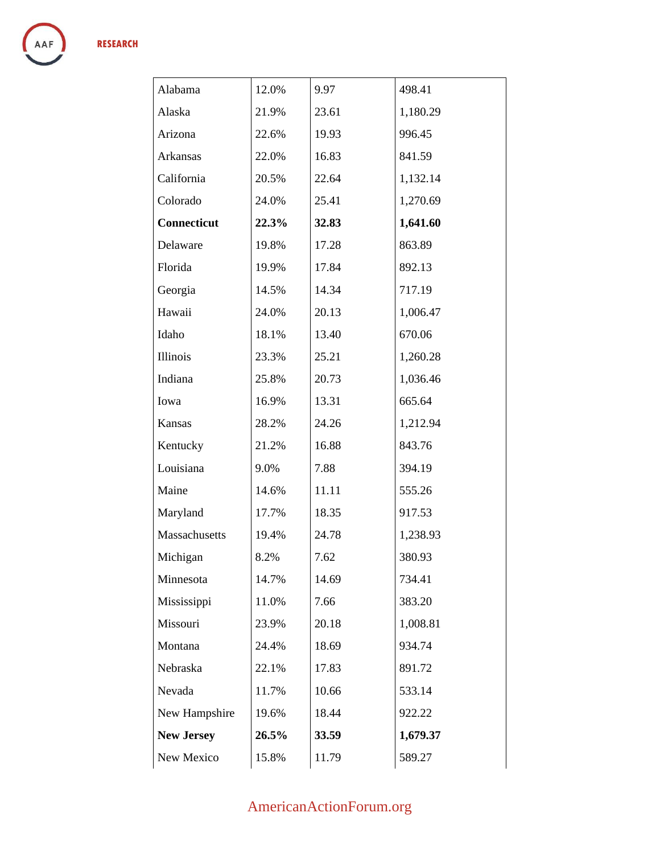| Alabama            | 12.0% | 9.97  | 498.41   |
|--------------------|-------|-------|----------|
| Alaska             | 21.9% | 23.61 | 1,180.29 |
| Arizona            | 22.6% | 19.93 | 996.45   |
| Arkansas           | 22.0% | 16.83 | 841.59   |
| California         | 20.5% | 22.64 | 1,132.14 |
| Colorado           | 24.0% | 25.41 | 1,270.69 |
| <b>Connecticut</b> | 22.3% | 32.83 | 1,641.60 |
| Delaware           | 19.8% | 17.28 | 863.89   |
| Florida            | 19.9% | 17.84 | 892.13   |
| Georgia            | 14.5% | 14.34 | 717.19   |
| Hawaii             | 24.0% | 20.13 | 1,006.47 |
| Idaho              | 18.1% | 13.40 | 670.06   |
| Illinois           | 23.3% | 25.21 | 1,260.28 |
| Indiana            | 25.8% | 20.73 | 1,036.46 |
| Iowa               | 16.9% | 13.31 | 665.64   |
| Kansas             | 28.2% | 24.26 | 1,212.94 |
| Kentucky           | 21.2% | 16.88 | 843.76   |
| Louisiana          | 9.0%  | 7.88  | 394.19   |
| Maine              | 14.6% | 11.11 | 555.26   |
| Maryland           | 17.7% | 18.35 | 917.53   |
| Massachusetts      | 19.4% | 24.78 | 1,238.93 |
| Michigan           | 8.2%  | 7.62  | 380.93   |
| Minnesota          | 14.7% | 14.69 | 734.41   |
| Mississippi        | 11.0% | 7.66  | 383.20   |
| Missouri           | 23.9% | 20.18 | 1,008.81 |
| Montana            | 24.4% | 18.69 | 934.74   |
| Nebraska           | 22.1% | 17.83 | 891.72   |
| Nevada             | 11.7% | 10.66 | 533.14   |
| New Hampshire      | 19.6% | 18.44 | 922.22   |
| <b>New Jersey</b>  | 26.5% | 33.59 | 1,679.37 |
| New Mexico         | 15.8% | 11.79 | 589.27   |

## AmericanActionForum.org